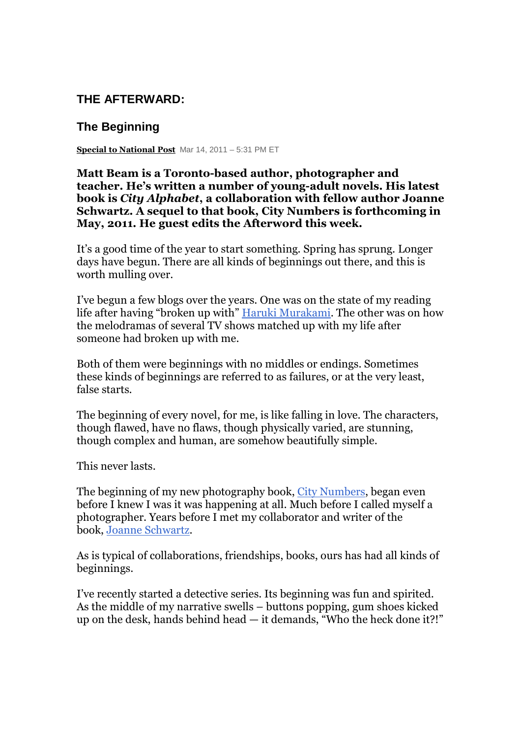# **THE AFTERWARD:**

## **The Beginning**

**Special to National Post** Mar 14, 2011 – 5:31 PM ET

#### **Matt Beam is a Toronto-based author, photographer and teacher. He's written a number of young-adult novels. His latest book is** *City Alphabet***, a collaboration with fellow author Joanne Schwartz. A sequel to that book, City Numbers is forthcoming in May, 2011. He guest edits the Afterword this week.**

It's a good time of the year to start something. Spring has sprung. Longer days have begun. There are all kinds of beginnings out there, and this is worth mulling over.

I've begun a few blogs over the years. One was on the state of my reading life after having "broken up with" Haruki Murakami. The other was on how the melodramas of several TV shows matched up with my life after someone had broken up with me.

Both of them were beginnings with no middles or endings. Sometimes these kinds of beginnings are referred to as failures, or at the very least, false starts.

The beginning of every novel, for me, is like falling in love. The characters, though flawed, have no flaws, though physically varied, are stunning, though complex and human, are somehow beautifully simple.

This never lasts.

The beginning of my new photography book, City Numbers, began even before I knew I was it was happening at all. Much before I called myself a photographer. Years before I met my collaborator and writer of the book, Joanne Schwartz.

As is typical of collaborations, friendships, books, ours has had all kinds of beginnings.

I've recently started a detective series. Its beginning was fun and spirited. As the middle of my narrative swells – buttons popping, gum shoes kicked up on the desk, hands behind head — it demands, "Who the heck done it?!"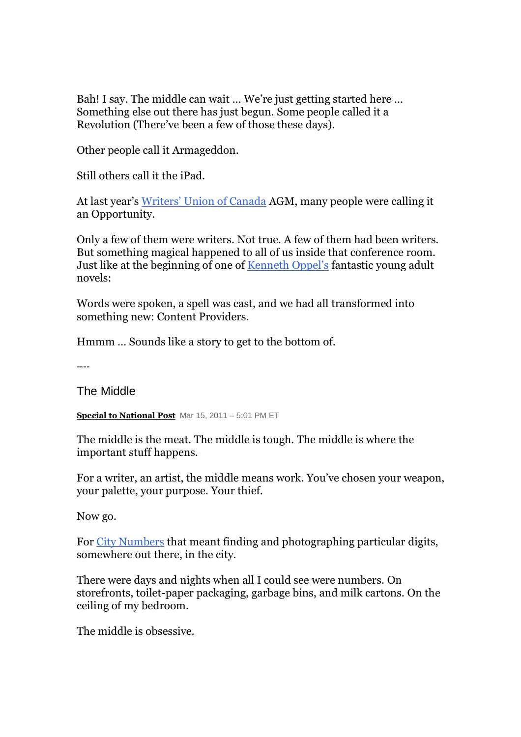Bah! I say. The middle can wait … We're just getting started here … Something else out there has just begun. Some people called it a Revolution (There've been a few of those these days).

Other people call it Armageddon.

Still others call it the iPad.

At last year's Writers' Union of Canada AGM, many people were calling it an Opportunity.

Only a few of them were writers. Not true. A few of them had been writers. But something magical happened to all of us inside that conference room. Just like at the beginning of one of Kenneth Oppel's fantastic young adult novels:

Words were spoken, a spell was cast, and we had all transformed into something new: Content Providers.

Hmmm … Sounds like a story to get to the bottom of.

----

The Middle

**Special to National Post** Mar 15, 2011 – 5:01 PM ET

The middle is the meat. The middle is tough. The middle is where the important stuff happens.

For a writer, an artist, the middle means work. You've chosen your weapon, your palette, your purpose. Your thief.

Now go.

For City Numbers that meant finding and photographing particular digits, somewhere out there, in the city.

There were days and nights when all I could see were numbers. On storefronts, toilet-paper packaging, garbage bins, and milk cartons. On the ceiling of my bedroom.

The middle is obsessive.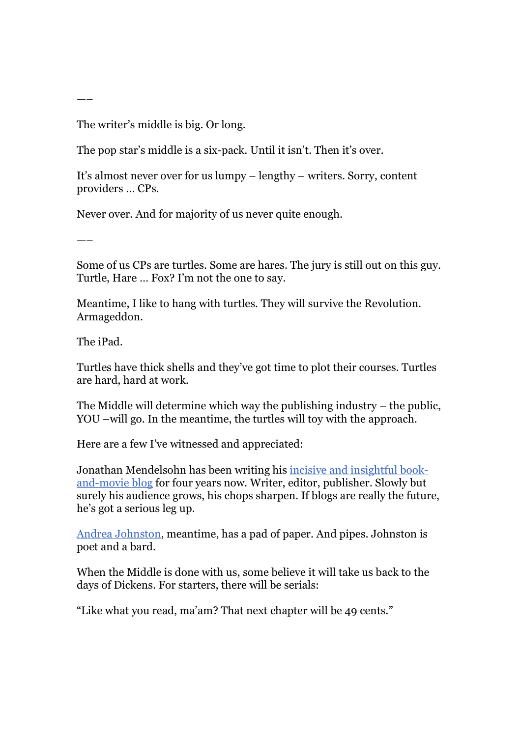The writer's middle is big. Or long.

The pop star's middle is a six-pack. Until it isn't. Then it's over.

It's almost never over for us lumpy – lengthy – writers. Sorry, content providers … CPs.

Never over. And for majority of us never quite enough.

—–

—–

Some of us CPs are turtles. Some are hares. The jury is still out on this guy. Turtle, Hare … Fox? I'm not the one to say.

Meantime, I like to hang with turtles. They will survive the Revolution. Armageddon.

The iPad.

Turtles have thick shells and they've got time to plot their courses. Turtles are hard, hard at work.

The Middle will determine which way the publishing industry – the public, YOU –will go. In the meantime, the turtles will toy with the approach.

Here are a few I've witnessed and appreciated:

Jonathan Mendelsohn has been writing his incisive and insightful bookand-movie blog for four years now. Writer, editor, publisher. Slowly but surely his audience grows, his chops sharpen. If blogs are really the future, he's got a serious leg up.

Andrea Johnston, meantime, has a pad of paper. And pipes. Johnston is poet and a bard.

When the Middle is done with us, some believe it will take us back to the days of Dickens. For starters, there will be serials:

"Like what you read, ma'am? That next chapter will be 49 cents."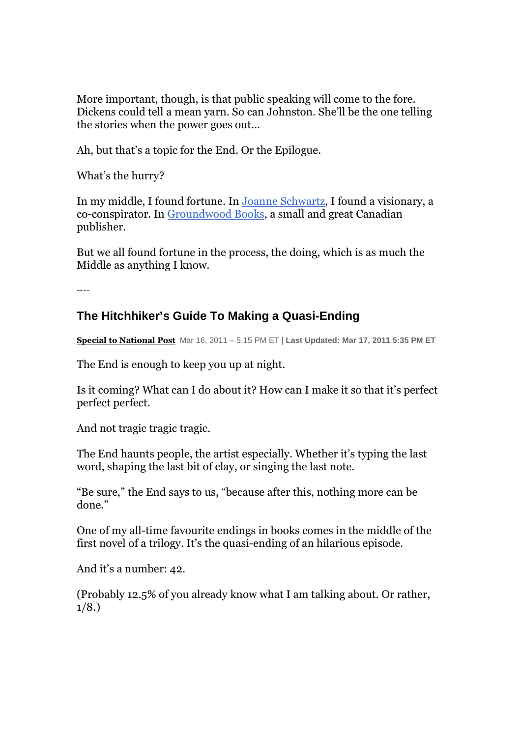More important, though, is that public speaking will come to the fore. Dickens could tell a mean yarn. So can Johnston. She'll be the one telling the stories when the power goes out…

Ah, but that's a topic for the End. Or the Epilogue.

What's the hurry?

In my middle, I found fortune. In Joanne Schwartz, I found a visionary, a co-conspirator. In Groundwood Books, a small and great Canadian publisher.

But we all found fortune in the process, the doing, which is as much the Middle as anything I know.

----

# **The Hitchhiker's Guide To Making a Quasi-Ending**

**Special to National Post** Mar 16, 2011 – 5:15 PM ET | **Last Updated: Mar 17, 2011 5:35 PM ET**

The End is enough to keep you up at night.

Is it coming? What can I do about it? How can I make it so that it's perfect perfect perfect.

And not tragic tragic tragic.

The End haunts people, the artist especially. Whether it's typing the last word, shaping the last bit of clay, or singing the last note.

"Be sure," the End says to us, "because after this, nothing more can be done."

One of my all-time favourite endings in books comes in the middle of the first novel of a trilogy. It's the quasi-ending of an hilarious episode.

And it's a number: 42.

(Probably 12.5% of you already know what I am talking about. Or rather, 1/8.)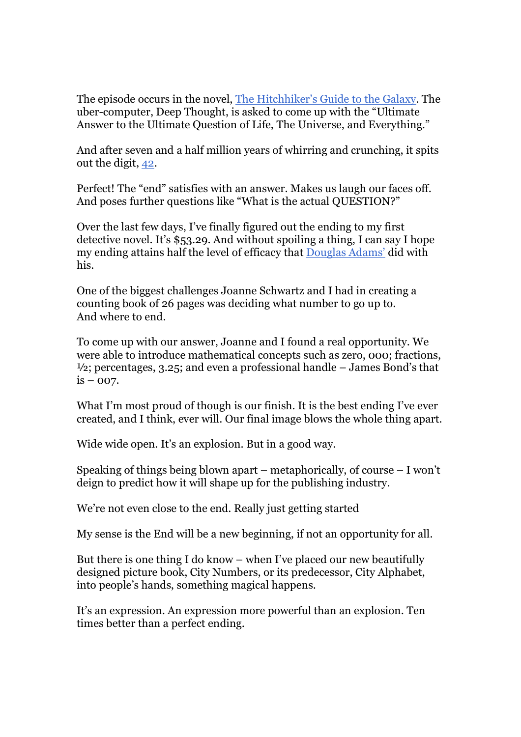The episode occurs in the novel, The Hitchhiker's Guide to the Galaxy. The uber-computer, Deep Thought, is asked to come up with the "Ultimate Answer to the Ultimate Question of Life, The Universe, and Everything."

And after seven and a half million years of whirring and crunching, it spits out the digit, 42.

Perfect! The "end" satisfies with an answer. Makes us laugh our faces off. And poses further questions like "What is the actual QUESTION?"

Over the last few days, I've finally figured out the ending to my first detective novel. It's \$53.29. And without spoiling a thing, I can say I hope my ending attains half the level of efficacy that Douglas Adams' did with his.

One of the biggest challenges Joanne Schwartz and I had in creating a counting book of 26 pages was deciding what number to go up to. And where to end.

To come up with our answer, Joanne and I found a real opportunity. We were able to introduce mathematical concepts such as zero, 000; fractions,  $\frac{1}{2}$ ; percentages, 3.25; and even a professional handle – James Bond's that  $is - 007$ .

What I'm most proud of though is our finish. It is the best ending I've ever created, and I think, ever will. Our final image blows the whole thing apart.

Wide wide open. It's an explosion. But in a good way.

Speaking of things being blown apart – metaphorically, of course – I won't deign to predict how it will shape up for the publishing industry.

We're not even close to the end. Really just getting started

My sense is the End will be a new beginning, if not an opportunity for all.

But there is one thing I do know – when I've placed our new beautifully designed picture book, City Numbers, or its predecessor, City Alphabet, into people's hands, something magical happens.

It's an expression. An expression more powerful than an explosion. Ten times better than a perfect ending.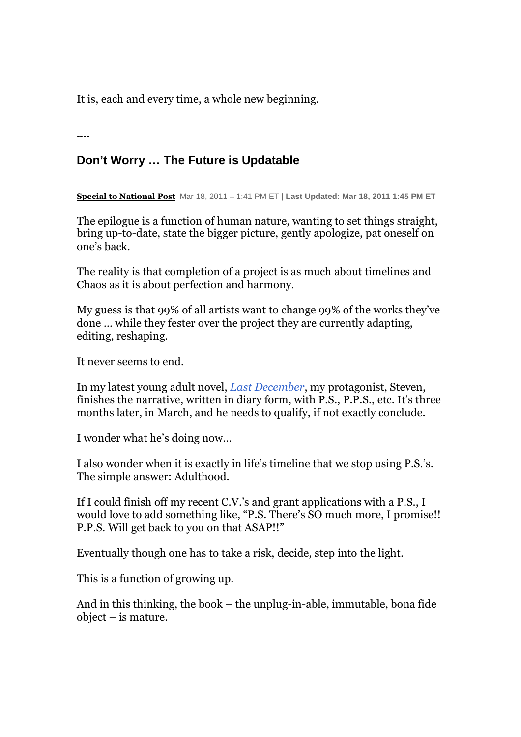It is, each and every time, a whole new beginning.

----

### **Don't Worry … The Future is Updatable**

**Special to National Post** Mar 18, 2011 – 1:41 PM ET | **Last Updated: Mar 18, 2011 1:45 PM ET**

The epilogue is a function of human nature, wanting to set things straight, bring up-to-date, state the bigger picture, gently apologize, pat oneself on one's back.

The reality is that completion of a project is as much about timelines and Chaos as it is about perfection and harmony.

My guess is that 99% of all artists want to change 99% of the works they've done … while they fester over the project they are currently adapting, editing, reshaping.

It never seems to end.

In my latest young adult novel, *Last December*, my protagonist, Steven, finishes the narrative, written in diary form, with P.S., P.P.S., etc. It's three months later, in March, and he needs to qualify, if not exactly conclude.

I wonder what he's doing now…

I also wonder when it is exactly in life's timeline that we stop using P.S.'s. The simple answer: Adulthood.

If I could finish off my recent C.V.'s and grant applications with a P.S., I would love to add something like, "P.S. There's SO much more, I promise!! P.P.S. Will get back to you on that ASAP!!"

Eventually though one has to take a risk, decide, step into the light.

This is a function of growing up.

And in this thinking, the book – the unplug-in-able, immutable, bona fide object – is mature.